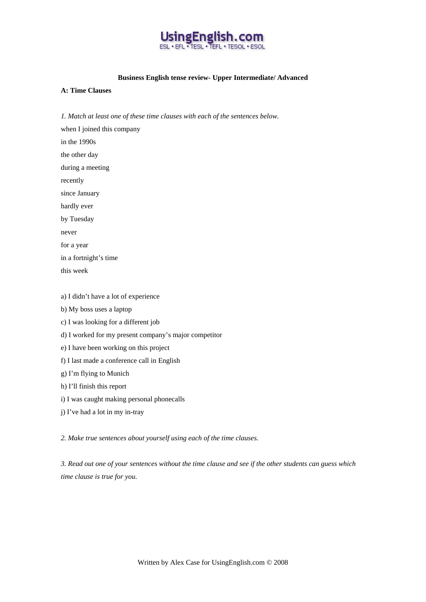

#### **Business English tense review- Upper Intermediate/ Advanced**

## **A: Time Clauses**

*1. Match at least one of these time clauses with each of the sentences below.* 

when I joined this company in the 1990s the other day during a meeting recently since January hardly ever by Tuesday never for a year in a fortnight's time this week a) I didn't have a lot of experience

b) My boss uses a laptop

- c) I was looking for a different job
- d) I worked for my present company's major competitor
- e) I have been working on this project
- f) I last made a conference call in English
- g) I'm flying to Munich
- h) I'll finish this report
- i) I was caught making personal phonecalls
- j) I've had a lot in my in-tray

*2. Make true sentences about yourself using each of the time clauses.* 

*3. Read out one of your sentences without the time clause and see if the other students can guess which time clause is true for you.*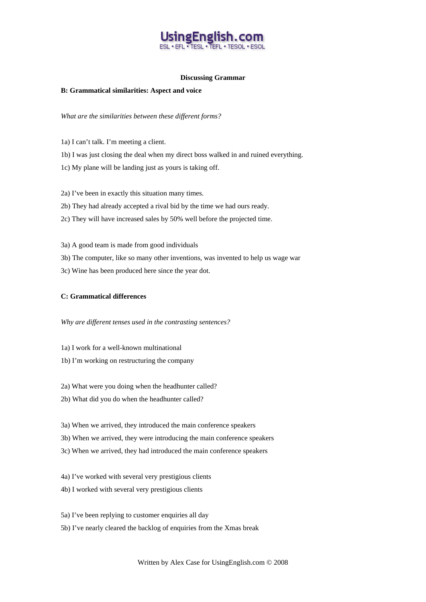# ngEnglish TESL . TEFL . TESOL

#### **Discussing Grammar**

#### **B: Grammatical similarities: Aspect and voice**

*What are the similarities between these different forms?* 

- 1a) I can't talk. I'm meeting a client.
- 1b) I was just closing the deal when my direct boss walked in and ruined everything.
- 1c) My plane will be landing just as yours is taking off.
- 2a) I've been in exactly this situation many times.
- 2b) They had already accepted a rival bid by the time we had ours ready.
- 2c) They will have increased sales by 50% well before the projected time.
- 3a) A good team is made from good individuals
- 3b) The computer, like so many other inventions, was invented to help us wage war
- 3c) Wine has been produced here since the year dot.

## **C: Grammatical differences**

*Why are different tenses used in the contrasting sentences?* 

- 1a) I work for a well-known multinational
- 1b) I'm working on restructuring the company
- 2a) What were you doing when the headhunter called?
- 2b) What did you do when the headhunter called?
- 3a) When we arrived, they introduced the main conference speakers
- 3b) When we arrived, they were introducing the main conference speakers
- 3c) When we arrived, they had introduced the main conference speakers
- 4a) I've worked with several very prestigious clients
- 4b) I worked with several very prestigious clients
- 5a) I've been replying to customer enquiries all day 5b) I've nearly cleared the backlog of enquiries from the Xmas break